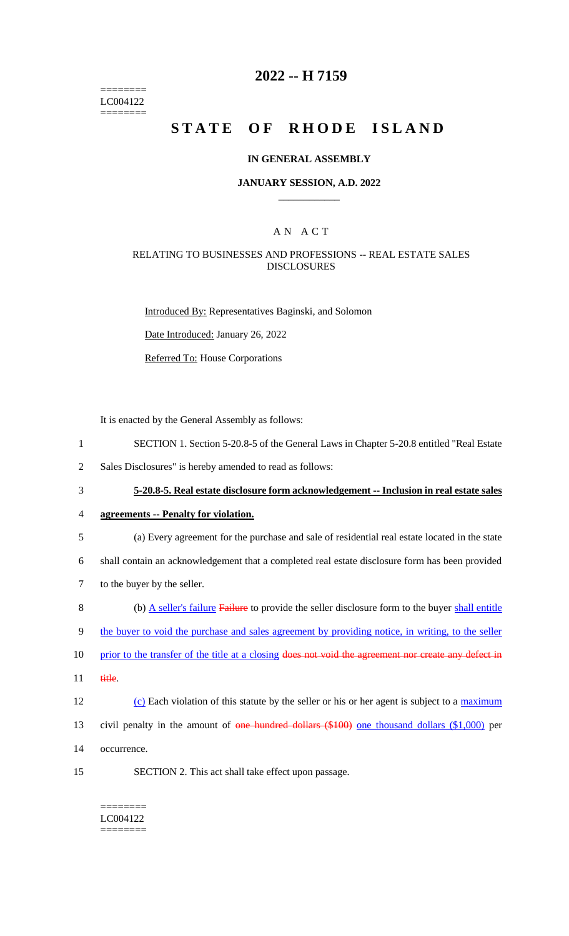======== LC004122 ========

## **2022 -- H 7159**

# **STATE OF RHODE ISLAND**

#### **IN GENERAL ASSEMBLY**

## **JANUARY SESSION, A.D. 2022 \_\_\_\_\_\_\_\_\_\_\_\_**

## A N A C T

## RELATING TO BUSINESSES AND PROFESSIONS -- REAL ESTATE SALES DISCLOSURES

Introduced By: Representatives Baginski, and Solomon

Date Introduced: January 26, 2022

Referred To: House Corporations

It is enacted by the General Assembly as follows:

- 1 SECTION 1. Section 5-20.8-5 of the General Laws in Chapter 5-20.8 entitled "Real Estate
- 2 Sales Disclosures" is hereby amended to read as follows:
- 

3 **5-20.8-5. Real estate disclosure form acknowledgement -- Inclusion in real estate sales** 

4 **agreements -- Penalty for violation.**

5 (a) Every agreement for the purchase and sale of residential real estate located in the state

6 shall contain an acknowledgement that a completed real estate disclosure form has been provided

- 7 to the buyer by the seller.
- 8 (b) A seller's failure Failure to provide the seller disclosure form to the buyer shall entitle

9 the buyer to void the purchase and sales agreement by providing notice, in writing, to the seller

- 10 prior to the transfer of the title at a closing does not void the agreement nor create any defect in
- 11 title.
- 12 (c) Each violation of this statute by the seller or his or her agent is subject to a maximum
- 13 civil penalty in the amount of one hundred dollars (\$100) one thousand dollars (\$1,000) per
- 14 occurrence.
- 15 SECTION 2. This act shall take effect upon passage.
	- ======== LC004122 ========